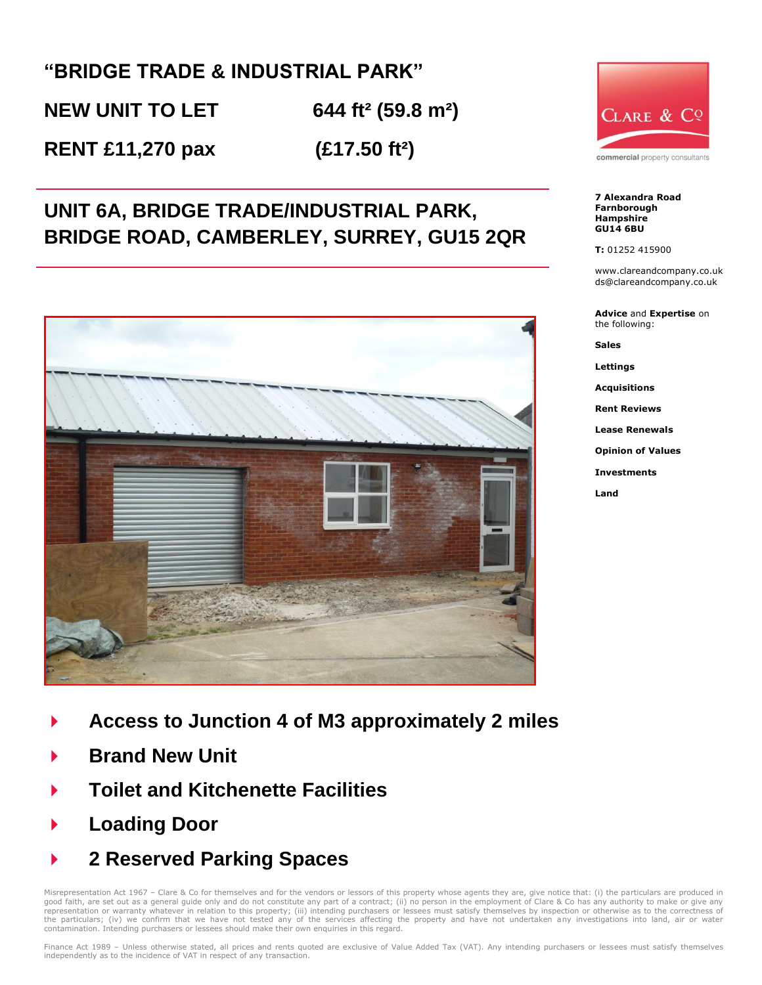## **"BRIDGE TRADE & INDUSTRIAL PARK"**

**NEW UNIT TO LET 644 ft² (59.8 m²)**

**RENT £11,270 pax (£17.50 ft²)** 

# **UNIT 6A, BRIDGE TRADE/INDUSTRIAL PARK, BRIDGE ROAD, CAMBERLEY, SURREY, GU15 2QR**





- **Brand New Unit**
- **Toilet and Kitchenette Facilities**
- **Loading Door**
- **2 Reserved Parking Spaces**

Misrepresentation Act 1967 - Clare & Co for themselves and for the vendors or lessors of this property whose agents they are, give notice that: (i) the particulars are produced in good faith, are set out as a general guide only and do not constitute any part of a contract; (ii) no person in the employment of Clare & Co has any authority to make or give any<br>representation or warranty whatever in rela the particulars; (iv) we confirm that we have not tested any of the services affecting the property and have not undertaken any investigations into land, air or water contamination. Intending purchasers or lessees should make their own enquiries in this regard.



commercial property consultants

**7 Alexandra Road Farnborough Hampshire GU14 6BU**

**T:** 01252 415900

www.clareandcompany.co.uk ds@clareandcompany.co.uk

**Advice** and **Expertise** on the following:

**Sales**

**Lettings**

**Acquisitions**

**Rent Reviews**

**Lease Renewals**

**Opinion of Values** 

**Investments**

**Land**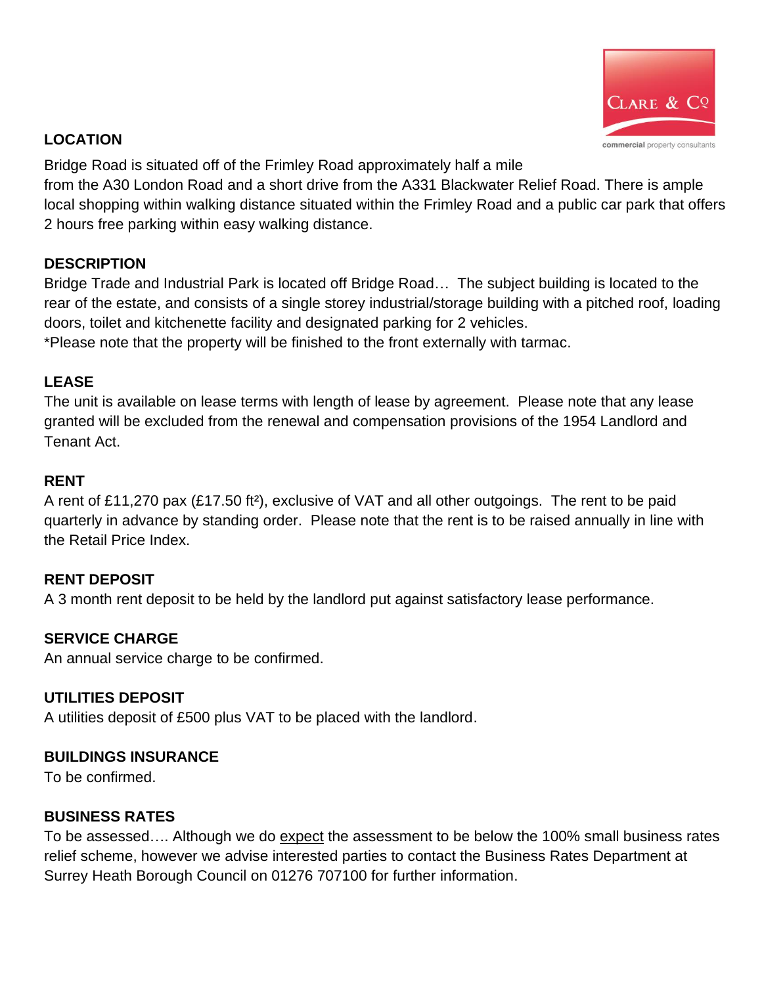

#### **LOCATION**

Bridge Road is situated off of the Frimley Road approximately half a mile

from the A30 London Road and a short drive from the A331 Blackwater Relief Road. There is ample local shopping within walking distance situated within the Frimley Road and a public car park that offers 2 hours free parking within easy walking distance.

## **DESCRIPTION**

Bridge Trade and Industrial Park is located off Bridge Road… The subject building is located to the rear of the estate, and consists of a single storey industrial/storage building with a pitched roof, loading doors, toilet and kitchenette facility and designated parking for 2 vehicles.

\*Please note that the property will be finished to the front externally with tarmac.

## **LEASE**

The unit is available on lease terms with length of lease by agreement. Please note that any lease granted will be excluded from the renewal and compensation provisions of the 1954 Landlord and Tenant Act.

## **RENT**

A rent of £11,270 pax (£17.50 ft²), exclusive of VAT and all other outgoings. The rent to be paid quarterly in advance by standing order. Please note that the rent is to be raised annually in line with the Retail Price Index.

## **RENT DEPOSIT**

A 3 month rent deposit to be held by the landlord put against satisfactory lease performance.

## **SERVICE CHARGE**

An annual service charge to be confirmed.

#### **UTILITIES DEPOSIT**

A utilities deposit of £500 plus VAT to be placed with the landlord.

## **BUILDINGS INSURANCE**

To be confirmed.

## **BUSINESS RATES**

To be assessed…. Although we do expect the assessment to be below the 100% small business rates relief scheme, however we advise interested parties to contact the Business Rates Department at Surrey Heath Borough Council on 01276 707100 for further information.